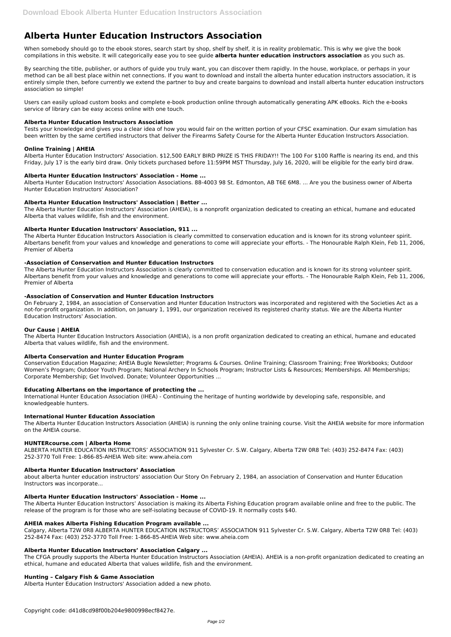# **Alberta Hunter Education Instructors Association**

When somebody should go to the ebook stores, search start by shop, shelf by shelf, it is in reality problematic. This is why we give the book compilations in this website. It will categorically ease you to see guide **alberta hunter education instructors association** as you such as.

By searching the title, publisher, or authors of guide you truly want, you can discover them rapidly. In the house, workplace, or perhaps in your method can be all best place within net connections. If you want to download and install the alberta hunter education instructors association, it is entirely simple then, before currently we extend the partner to buy and create bargains to download and install alberta hunter education instructors association so simple!

Users can easily upload custom books and complete e-book production online through automatically generating APK eBooks. Rich the e-books service of library can be easy access online with one touch.

## **Alberta Hunter Education Instructors Association**

Tests your knowledge and gives you a clear idea of how you would fair on the written portion of your CFSC examination. Our exam simulation has been written by the same certified instructors that deliver the Firearms Safety Course for the Alberta Hunter Education Instructors Association.

## **Online Training | AHEIA**

Alberta Hunter Education Instructors' Association. \$12,500 EARLY BIRD PRIZE IS THIS FRIDAY!! The 100 For \$100 Raffle is nearing its end, and this Friday, July 17 is the early bird draw. Only tickets purchased before 11:59PM MST Thursday, July 16, 2020, will be eligible for the early bird draw.

## **Alberta Hunter Education Instructors' Association - Home ...**

Alberta Hunter Education Instructors' Association Associations. 88-4003 98 St. Edmonton, AB T6E 6M8. ... Are you the business owner of Alberta Hunter Education Instructors' Association?

## **Alberta Hunter Education Instructors' Association | Better ...**

The Alberta Hunter Education Instructors' Association (AHEIA), is a nonprofit organization dedicated to creating an ethical, humane and educated Alberta that values wildlife, fish and the environment.

## **Alberta Hunter Education Instructors' Association, 911 ...**

The Alberta Hunter Education Instructors Association is clearly committed to conservation education and is known for its strong volunteer spirit. Albertans benefit from your values and knowledge and generations to come will appreciate your efforts. - The Honourable Ralph Klein, Feb 11, 2006, Premier of Alberta

## **-Association of Conservation and Hunter Education Instructors**

The Alberta Hunter Education Instructors Association is clearly committed to conservation education and is known for its strong volunteer spirit. Albertans benefit from your values and knowledge and generations to come will appreciate your efforts. - The Honourable Ralph Klein, Feb 11, 2006, Premier of Alberta

## **-Association of Conservation and Hunter Education Instructors**

On February 2, 1984, an association of Conservation and Hunter Education Instructors was incorporated and registered with the Societies Act as a not-for-profit organization. In addition, on January 1, 1991, our organization received its registered charity status. We are the Alberta Hunter Education Instructors' Association.

## **Our Cause | AHEIA**

The Alberta Hunter Education Instructors Association (AHEIA), is a non profit organization dedicated to creating an ethical, humane and educated Alberta that values wildlife, fish and the environment.

# **Alberta Conservation and Hunter Education Program**

Conservation Education Magazine; AHEIA Bugle Newsletter; Programs & Courses. Online Training; Classroom Training; Free Workbooks; Outdoor Women's Program; Outdoor Youth Program; National Archery In Schools Program; Instructor Lists & Resources; Memberships. All Memberships; Corporate Membership; Get Involved. Donate; Volunteer Opportunities ...

## **Educating Albertans on the importance of protecting the ...**

International Hunter Education Association (IHEA) - Continuing the heritage of hunting worldwide by developing safe, responsible, and knowledgeable hunters.

## **International Hunter Education Association**

The Alberta Hunter Education Instructors Association (AHEIA) is running the only online training course. Visit the AHEIA website for more information on the AHEIA course.

## **HUNTERcourse.com | Alberta Home**

ALBERTA HUNTER EDUCATION INSTRUCTORS' ASSOCIATION 911 Sylvester Cr. S.W. Calgary, Alberta T2W 0R8 Tel: (403) 252-8474 Fax: (403) 252-3770 Toll Free: 1-866-85-AHEIA Web site: www.aheia.com

## **Alberta Hunter Education Instructors' Association**

about alberta hunter education instructors' association Our Story On February 2, 1984, an association of Conservation and Hunter Education

Instructors was incorporate...

#### **Alberta Hunter Education Instructors' Association - Home ...**

The Alberta Hunter Education Instructors' Association is making its Alberta Fishing Education program available online and free to the public. The release of the program is for those who are self-isolating because of COVID-19. It normally costs \$40.

#### **AHEIA makes Alberta Fishing Education Program available ...**

Calgary, Alberta T2W 0R8 ALBERTA HUNTER EDUCATION INSTRUCTORS' ASSOCIATION 911 Sylvester Cr. S.W. Calgary, Alberta T2W 0R8 Tel: (403) 252-8474 Fax: (403) 252-3770 Toll Free: 1-866-85-AHEIA Web site: www.aheia.com

## **Alberta Hunter Education Instructors' Association Calgary ...**

The CFGA proudly supports the Alberta Hunter Education Instructors Association (AHEIA). AHEIA is a non-profit organization dedicated to creating an ethical, humane and educated Alberta that values wildlife, fish and the environment.

## **Hunting – Calgary Fish & Game Association**

Alberta Hunter Education Instructors' Association added a new photo.

Copyright code: d41d8cd98f00b204e9800998ecf8427e.